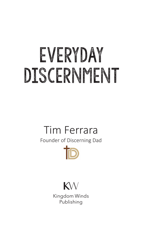# EVERYDAY DISCERNMENT

# Tim Ferrara

Founder of Discerning Dad





Kingdom Winds Publishing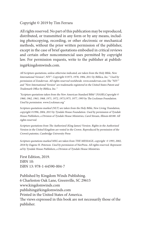#### Copyright © 2019 by Tim Ferrara

All rights reserved. No part of this publication may be reproduced, distributed, or transmitted in any form or by any means, including photocopying, recording, or other electronic or mechanical methods, without the prior written permission of the publisher, except in the case of brief quotations embodied in critical reviews and certain other noncommercial uses permitted by copyright law. For permission requests, write to the publisher at publishing@kingdomwinds.com.

All Scripture quotations, unless otherwise indicated, are taken from the Holy Bible, New International Version®, NIV®. Copyright ©1973, 1978, 1984, 2011 by Biblica, Inc.™ Used by permission of Zondervan. All rights reserved worldwide. www.zondervan.com The "NIV" and "New International Version" are trademarks registered in the United States Patent and Trademark Office by Biblica, Inc.™

"Scripture quotations taken from the New American Standard Bible® (NASB),Copyright © 1960, 1962, 1963, 1968, 1971, 1972, 1973,1975, 1977, 1995 by The Lockman Foundation. Used by permission. www.Lockman.org"

Scripture quotations marked (NLT) are taken from the Holy Bible, New Living Translation, copyright ©1996, 2004, 2015 by Tyndale House Foundation. Used by permission of Tyndale House Publishers, a Division of Tyndale House Ministries, Carol Stream, Illinois 60188. All rights reserved.

Scripture quotations from The Authorized (King James) Version. Rights in the Authorized Version in the United Kingdom are vested in the Crown. Reproduced by permission of the Crown's patentee, Cambridge University Press

Scripture quotations marked MSG are taken from THE MESSAGE, copyright © 1993, 2002, 2018 by Eugene H. Peterson. Used by permission of NavPress. All rights reserved. Represented by Tyndale House Publishers, a Division of Tyndale House Ministries.

First Edition, 2019. ISBN 10: ISBN 13: 978-1-64590-004-7

Published by Kingdom Winds Publishing. 6 Charleston Oak Lane, Greenville, SC 29615 www.kingdomwinds.com publishing@kingdomwinds.com Printed in the United States of America. The views expressed in this book are not necessarily those of the publisher.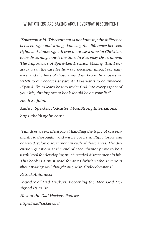#### WHAT OTHERS ARE SAYTNG ABOUT EVERYDAY DISCERNMENT

"Spurgeon said, 'Discernment is not knowing the difference between right and wrong, knowing the difference between right... and almost right.' If ever there was a time for Christians to be discerning, now is the time. In Everyday Discernment: The Importance of Spirit-Led Decision Making, Tim Ferrara lays out the case for how our decisions impact our daily lives, and the lives of those around us. From the movies we watch to our choices as parents, God wants to be involved. If you'd like to learn how to invite God into every aspect of your life, this important book should be on your list!"

Heidi St. John,

Author, Speaker, Podcaster, MomStrong International https://heidistjohn.com/

"Tim does an excellent job at handling the topic of discernment. He thoroughly and wisely covers multiple topics and how to develop discernment in each of those areas. The discussion questions at the end of each chapter prove to be a useful tool for developing much needed discernment in life. This book is a must read for any Christian who is serious about making well thought out, wise, Godly decisions."

Patrick Antonucci

Founder of Dad Hackers: Becoming the Men God Designed Us to Be

Host of the Dad Hackers Podcast

https://dadhackers.us/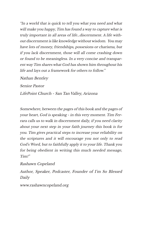"In a world that is quick to tell you what you need and what will make you happy, Tim has found a way to capture what is truly important in all areas of life…discernment. A life without discernment is like knowledge without wisdom. You may have lots of money, friendships, possesions or charisma, but if you lack discernment, those will all come crashing down or found to be meaningless. In a very concise and transparent way Tim shares what God has shown him throughout his life and lays out a framework for others to follow."

Nathan Bentley

Senior Pastor

LifePoint Church - San Tan Valley, Arizona

Somewhere, between the pages of this book and the pages of your heart, God is speaking - in this very moment. Tim Ferrara calls us to walk in discernment daily, if you need clarity about your next step in your faith journey this book is for you. Tim gives practical steps to increase your reliability on the scriptures and it will encourage you not only to read God's Word, but to faithfully apply it to your life. Thank you for being obedient in writing this much needed message, Tim!"

Rashawn Copeland

Author, Speaker, Podcaster, Founder of I'm So Blessed Daily

www.rashawncopeland.org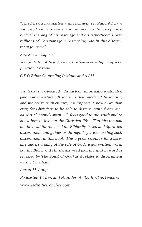"Tim Ferrara has started a discernment revolution! I have witnessed Tim's personal commitment to the exceptional biblical shaping of his marriage and his fatherhood. I pray millions of Christians join Discerning Dad in this discernment journey!"

Rev. Shawn Capozzi

Senior Pastor of New Season Christian Fellowship in Apache Junction, Arizona

C.E.O Ethos Counseling Institute and A.I.M.

"In today's fast-paced, distracted, information-saturated (and opinion-saturated), social media-inundated, hedonistic, and subjective truth culture, it is important, now more than ever, for Christians to be able to discern Truth from 'kinda-sort-a', 'sounds spiritual', 'feels good to me' truth and to know how to live out the Christian life. Tim hits the nail on the head for the need for Biblically-based and Spirit-led discernment and guides us through key areas needing such discernment in this book. This a great resource for a baseline understanding of the role of God's logos (written word; i.e., the Bible) and His rhema word (i.e., the spoken word as revealed by The Spirit of God) as it relates to discernment for the Christian."

Aaron M. Long

Podcaster, Writer, and Founder of "DadInTheTrenches" www.dadinthetrenches.com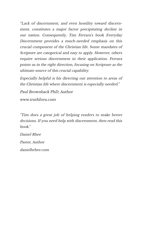"Lack of discernment, and even hostility toward discernment, constitutes a major factor precipitating decline in our nation. Consequently, Tim Ferrara's book Everyday Discernment provides a much-needed emphasis on this crucial component of the Christian life. Some mandates of Scripture are categorical and easy to apply. However, others require serious discernment in their application. Ferrara points us in the right direction, focusing on Scripture as the ultimate source of this crucial capability.

Especially helpful is his directing our attention to areas of the Christian life where discernment is especially needed."

Paul Brownback PhD, Author

www.truthforu.com

"Tim does a great job of helping readers to make better decisions. If you need help with discernment, then read this book."

Daniel Rhee

Pastor, Author

danielhrhee.com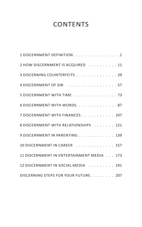#### **CONTENTS**

| 1 DISCERNMENT DEFINITION. 1               |
|-------------------------------------------|
| 2 HOW DISCERNMENT IS ACQUIRED 11          |
| 3 DISCERNING COUNTERFEITS 29              |
| 4 DISCERNMENT OF SIN 57                   |
| 5 DISCERNMENT WITH TIME 73                |
| 6 DISCERNMENT WITH WORDS. 87              |
| 7 DISCERNMENT WITH FINANCES 107           |
| 8 DISCERNMENT WITH RELATIONSHIPS 121      |
| 9 DISCERNMENT IN PARENTING 139            |
| 10 DISCERNMENT IN CAREER 157              |
| 11 DISCERNMENT IN ENTERTAINMENT MEDIA 173 |
| 12 DISCERNMENT IN SOCIAL MEDIA 191        |
| DISCERNING STEPS FOR YOUR FUTURE 207      |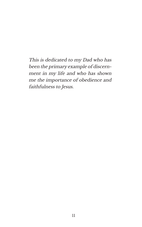This is dedicated to my Dad who has been the primary example of discernment in my life and who has shown me the importance of obedience and faithfulness to Jesus.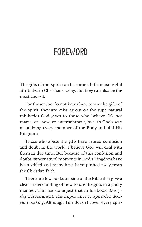## **FOREWORD**

The gifts of the Spirit can be some of the most useful attributes to Christians today. But they can also be the most abused.

For those who do not know how to use the gifts of the Spirit, they are missing out on the supernatural ministries God gives to those who believe. It's not magic, or show, or entertainment, but it's God's way of utilizing every member of the Body to build His Kingdom.

Those who abuse the gifts have caused confusion and doubt in the world. I believe God will deal with them in due time. But because of this confusion and doubt, supernatural moments in God's Kingdom have been stifled and many have been pushed away from the Christian faith.

There are few books outside of the Bible that give a clear understanding of how to use the gifts in a godly manner. Tim has done just that in his book, Everyday Discernment: The importance of Spirit-led decision making. Although Tim doesn't cover every spir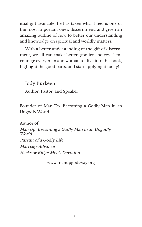itual gift available, he has taken what I feel is one of the most important ones, discernment, and given an amazing outline of how to better our understanding and knowledge on spiritual and worldly matters.

With a better understanding of the gift of discernment, we all can make better, godlier choices. I encourage every man and woman to dive into this book, highlight the good parts, and start applying it today!

Jody Burkeen

Author, Pastor, and Speaker

Founder of Man Up: Becoming a Godly Man in an Ungodly World

Author of:

Man Up: Becoming a Godly Man in an Ungodly World Pursuit of a Godly Life Marriage Advance

Hacksaw Ridge Men's Devotion

www.manupgodsway.org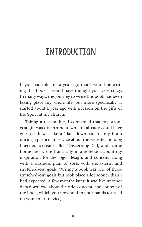## Introduction

If you had told me a year ago that I would be writing this book, I would have thought you were crazy. In many ways, the journey to write this book has been taking place my whole life, but more specifically, it started about a year ago with a lesson on the gifts of the Spirit at my church.

Taking a test online, I confirmed that my strongest gift was discernment, which I already could have guessed. It was like a "data download" in my brain during a particular service about the website and blog I needed to create called "Discerning Dad," and I came home and wrote frantically in a notebook about my inspiration for the logo, design, and content, along with a business plan of sorts with short-term and stretched-out goals. Writing a book was one of those stretched-out goals but took place a lot sooner than I had expected. A few months later, it was like another data download about the title, concept, and content of the book, which you now hold in your hands (or read on your smart device).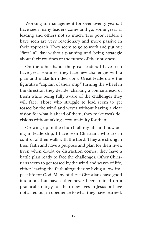Working in management for over twenty years, I have seen many leaders come and go, some great at leading and others not so much. The poor leaders I have seen are very reactionary and more passive in their approach. They seem to go to work and put out "fires" all day without planning and being strategic about their routines or the future of their business.

On the other hand, the great leaders I have seen have great routines; they face new challenges with a plan and make firm decisions. Great leaders are the figurative "captain of their ship," turning the wheel in the direction they decide, charting a course ahead of them while being fully aware of the challenges they will face. Those who struggle to lead seem to get tossed by the wind and waves without having a clear vision for what is ahead of them; they make weak decisions without taking accountability for them.

Growing up in the church all my life and now being in leadership, I have seen Christians who are in control of their walk with the Lord. They are strong in their faith and have a purpose and plan for their lives. Even when doubt or distraction comes, they have a battle plan ready to face the challenges. Other Christians seem to get tossed by the wind and waves of life, either leaving the faith altogether or living a low-impact life for God. Many of these Christians have good intentions but have either never been trained on a practical strategy for their new lives in Jesus or have not acted out in obedience to what they have learned.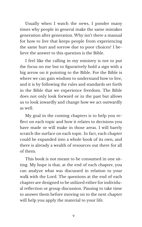Usually when I watch the news, I ponder many times why people in general make the same mistakes generation after generation. Why isn't there a manual for how to live that keeps people from experiencing the same hurt and sorrow due to poor choices? I believe the answer to this question is the Bible.

I feel like the calling in my ministry is not to put the focus on me but to figuratively hold a sign with a big arrow on it pointing to the Bible. For the Bible is where we can gain wisdom to understand how to live, and it is by following the rules and standards set forth in the Bible that we experience freedom. The Bible does not only look forward or in the past but allows us to look inwardly and change how we act outwardly as well.

My goal in the coming chapters is to help you reflect on each topic and how it relates to decisions you have made or will make in those areas. I will barely scratch the surface on each topic. In fact, each chapter could be expanded into a whole book of its own, and there is already a wealth of resources out there for all of them.

This book is not meant to be consumed in one sitting. My hope is that, at the end of each chapter, you can analyze what was discussed in relation to your walk with the Lord. The questions at the end of each chapter are designed to be utilized either for individual reflection or group discussion. Pausing to take time to answer them before moving on to the next chapter will help you apply the material to your life.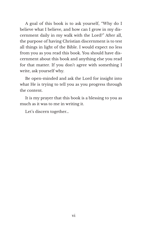A goal of this book is to ask yourself, "Why do I believe what I believe, and how can I grow in my discernment daily in my walk with the Lord?" After all, the purpose of having Christian discernment is to test all things in light of the Bible. I would expect no less from you as you read this book. You should have discernment about this book and anything else you read for that matter. If you don't agree with something I write, ask yourself why.

Be open-minded and ask the Lord for insight into what He is trying to tell you as you progress through the content.

It is my prayer that this book is a blessing to you as much as it was to me in writing it.

Let's discern together…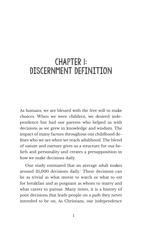### CHAPTER 1: DISCERNMENT DEFINITION

As humans, we are blessed with the free will to make choices. When we were children, we desired independence but had our parents who helped us with decisions as we grew in knowledge and wisdom. The impact of many factors throughout our childhood defines who we are when we reach adulthood. The blend of nature and nurture gives us a structure for our beliefs and personality and creates a presupposition in how we make decisions daily.

One study estimated that an average adult makes around 35,000 decisions daily.<sup>1</sup> These decisions can be as trivial as what movie to watch or what to eat for breakfast and as poignant as whom to marry and what career to pursue. Many times, it is a history of poor decisions that leads people on a path they never intended to be on. As Christians, our independence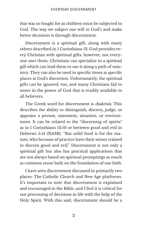that was so fought for as children must be subjected to God. The way we subject our will to God's and make better decisions is through discernment.

Discernment is a spiritual gift, along with many others described in 1 Corinthians 12. God provides every Christian with spiritual gifts; however, not everyone uses them. Christians can specialize in a spiritual gift which can lead them to use it along a path of ministry. They can also be used in specific times at specific places at God's discretion. Unfortunately, the spiritual gifts can be ignored, too, and many Christians fail to move in the power of God that is readily available to all believers.

The Greek word for discernment is diakrisis. This describes the ability to distinguish, discern, judge, or appraise a person, statement, situation, or environment. It can be related to the "discerning of spirits" as in 1 Corinthians 12:10 or between good and evil in Hebrews 5:14 (NASB). "But solid food is for the mature, who because of practice have their senses trained to discern good and evil." Discernment is not only a spiritual gift but also has practical applications that are not always based on spiritual promptings as much as common sense built on the foundation of our faith.

I have seen discernment discussed in primarily two places: The Catholic Church and New Age platforms. It's important to note that discernment is explained and encouraged in the Bible, and I feel it is critical for our processing of decisions in life with the help of the Holy Spirit. With this said, discernment should be a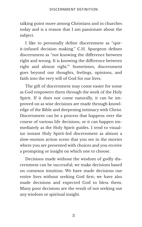talking point more among Christians and in churches today and is a reason that I am passionate about the subject.

I like to personally define discernment as "spirit-infused decision making." C.H. Spurgeon defines discernment as "not knowing the difference between right and wrong. It is knowing the difference between right and almost right."² Sometimes, discernment goes beyond our thoughts, feelings, opinions, and faith into the very will of God for our lives.

The gift of discernment may come easier for some as God empowers them through the work of the Holy Spirit. If it does not come naturally, it can be improved on as wise decisions are made through knowledge of the Bible and deepening intimacy with Christ. Discernment can be a process that happens over the course of various life decisions, or it can happen immediately as the Holy Spirit guides. I tend to visualize instant Holy Spirit-led discernment as almost a slow-motion action scene that you see in the movies where you are presented with choices and you receive a prompting or insight on which one to choose.

Decisions made without the wisdom of godly discernment can be successful; we make decisions based on common intuition. We have made decisions our entire lives without seeking God first; we have also made decisions and expected God to bless them. Many poor decisions are the result of not seeking out any wisdom or spiritual insight.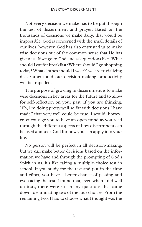Not every decision we make has to be put through the test of discernment and prayer. Based on the thousands of decisions we make daily, that would be impossible. God is concerned with the small details of our lives; however, God has also entrusted us to make wise decisions out of the common sense that He has given us. If we go to God and ask questions like "What should I eat for breakfast? Where should I go shopping today? What clothes should I wear?" we are trivializing discernment and our decision-making productivity will be impeded.

The purpose of growing in discernment is to make wise decisions in key areas for the future and to allow for self-reflection on your past. If you are thinking, "Eh, I'm doing pretty well so far with decisions I have made," that very well could be true. I would, however, encourage you to have an open mind as you read through the different aspects of how discernment can be used and seek God for how you can apply it to your life.

No person will be perfect in all decision-making, but we can make better decisions based on the information we have and through the prompting of God's Spirit in us. It's like taking a multiple-choice test in school. If you study for the test and put in the time and effort, you have a better chance of passing and even acing the test. I found that, even when I did well on tests, there were still many questions that came down to eliminating two of the four choices. From the remaining two, I had to choose what I thought was the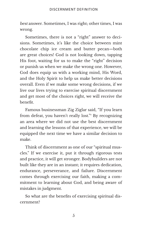best answer. Sometimes, I was right; other times, I was wrong.

Sometimes, there is not a "right" answer to decisions. Sometimes, it's like the choice between mint chocolate chip ice cream and butter pecan—both are great choices! God is not looking down, tapping His foot, waiting for us to make the "right" decision or punish us when we make the wrong one. However, God does equip us with a working mind, His Word, and the Holy Spirit to help us make better decisions overall. Even if we make some wrong decisions, if we live our lives trying to exercise spiritual discernment and get most of the choices right, we will receive the benefit.

Famous businessman Zig Ziglar said, "If you learn from defeat, you haven't really lost."<sup>3</sup> By recognizing an area where we did not use the best discernment and learning the lessons of that experience, we will be equipped the next time we have a similar decision to make.

Think of discernment as one of our "spiritual muscles." If we exercise it, put it through rigorous tests and practice, it will get stronger. Bodybuilders are not built like they are in an instant; it requires dedication, endurance, perseverance, and failure. Discernment comes through exercising our faith, making a commitment to learning about God, and being aware of mistakes in judgment.

So what are the benefits of exercising spiritual discernment?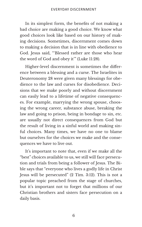In its simplest form, the benefits of not making a bad choice are making a good choice. We know what good choices look like based on our history of making decisions. Sometimes, discernment comes down to making a decision that is in line with obedience to God. Jesus said, "'Blessed rather are those who hear the word of God and obey it'" (Luke 11:28).

Higher-level discernment is sometimes the difference between a blessing and a curse. The Israelites in Deuteronomy 28 were given many blessings for obedience to the law and curses for disobedience. Decisions that we make poorly and without discernment can easily lead to a lifetime of negative consequences. For example, marrying the wrong spouse, choosing the wrong career, substance abuse, breaking the law and going to prison, being in bondage to sin, etc. are usually not direct consequences from God but the result of living in a sinful world and making sinful choices. Many times, we have no one to blame but ourselves for the choices we make and the consequences we have to live out.

It's important to note that, even if we make all the "best" choices available to us, we still will face persecution and trials from being a follower of Jesus. The Bible says that "everyone who lives a godly life in Christ Jesus will be persecuted" (2 Tim. 3:12). This is not a popular topic preached from the stage of churches, but it's important not to forget that millions of our Christian brothers and sisters face persecution on a daily basis.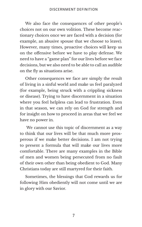We also face the consequences of other people's choices not on our own volition. These become reactionary choices once we are faced with a decision (for example, an abusive spouse that we choose to leave). However, many times, proactive choices will keep us on the offensive before we have to play defense. We need to have a "game plan" for our lives before we face decisions, but we also need to be able to call an audible on the fly as situations arise.

Other consequences we face are simply the result of living in a sinful world and make us feel paralyzed (for example, being struck with a crippling sickness or disease). Trying to have discernment in a situation where you feel helpless can lead to frustration. Even in that season, we can rely on God for strength and for insight on how to proceed in areas that we feel we have no power in.

 We cannot use this topic of discernment as a way to think that our lives will be that much more prosperous if we make better decisions. I am not trying to present a formula that will make our lives more comfortable. There are many examples in the Bible of men and women being persecuted from no fault of their own other than being obedient to God. Many Christians today are still martyred for their faith.

Sometimes, the blessings that God rewards us for following Him obediently will not come until we are in glory with our Savior.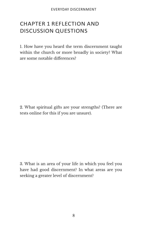#### CHAPTER 1 REFLECTION AND DISCUSSION QUESTIONS

1. How have you heard the term discernment taught within the church or more broadly in society? What are some notable differences?

2. What spiritual gifts are your strengths? (There are tests online for this if you are unsure).

3. What is an area of your life in which you feel you have had good discernment? In what areas are you seeking a greater level of discernment?